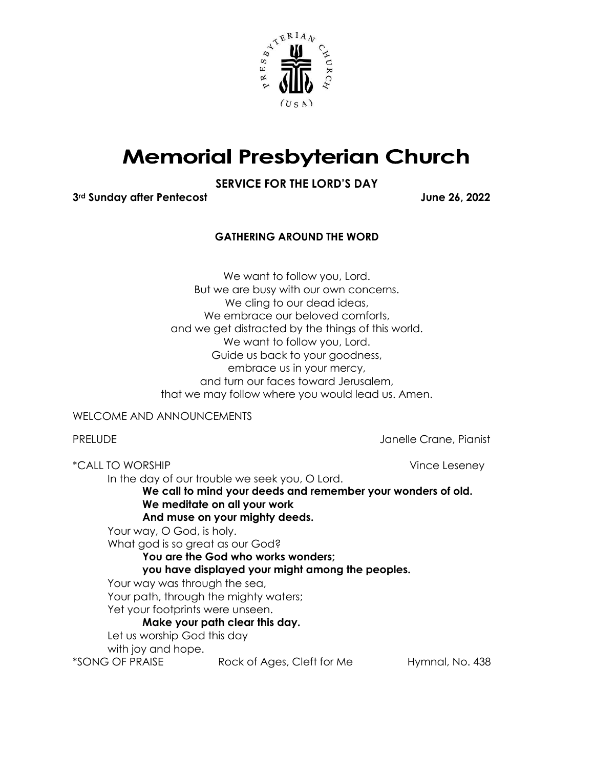

## **Memorial Presbyterian Church**

## **SERVICE FOR THE LORD'S DAY**

**3rd Sunday after Pentecost June 26, 2022**

## **GATHERING AROUND THE WORD**

We want to follow you, Lord. But we are busy with our own concerns. We cling to our dead ideas, We embrace our beloved comforts, and we get distracted by the things of this world. We want to follow you, Lord. Guide us back to your goodness, embrace us in your mercy, and turn our faces toward Jerusalem, that we may follow where you would lead us. Amen.

WELCOME AND ANNOUNCEMENTS

PRELUDE **Internal Crane, Pianist** Janelle Crane, Pianist

\*CALL TO WORSHIP Vince Leseney In the day of our trouble we seek you, O Lord. **We call to mind your deeds and remember your wonders of old. We meditate on all your work And muse on your mighty deeds.**  Your way, O God, is holy. What god is so great as our God? **You are the God who works wonders; you have displayed your might among the peoples.**  Your way was through the sea, Your path, through the mighty waters; Yet your footprints were unseen. **Make your path clear this day.**  Let us worship God this day with joy and hope. \*SONG OF PRAISE Rock of Ages, Cleft for Me Hymnal, No. 438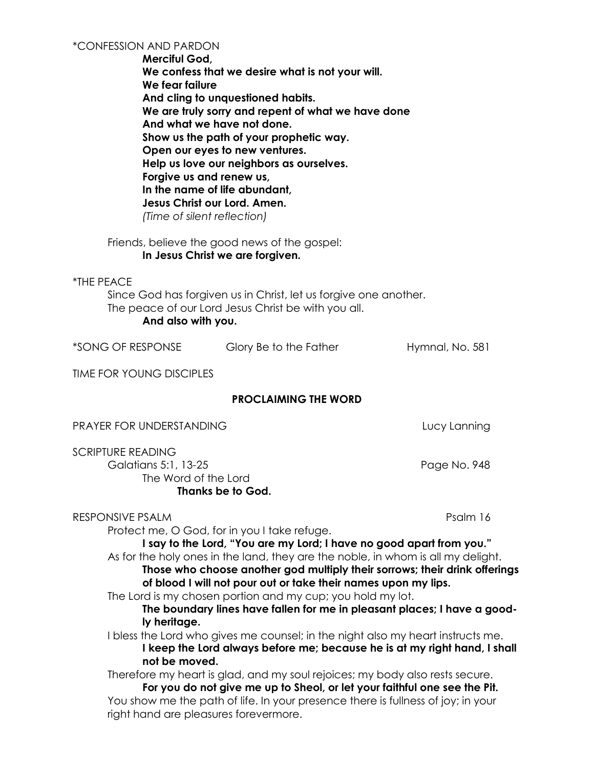**Merciful God, We confess that we desire what is not your will. We fear failure And cling to unquestioned habits. We are truly sorry and repent of what we have done And what we have not done. Show us the path of your prophetic way. Open our eyes to new ventures. Help us love our neighbors as ourselves. Forgive us and renew us, In the name of life abundant, Jesus Christ our Lord. Amen.**  *(Time of silent reflection)*

Friends, believe the good news of the gospel: **In Jesus Christ we are forgiven.**

\*THE PEACE Since God has forgiven us in Christ, let us forgive one another. The peace of our Lord Jesus Christ be with you all. **And also with you.**

\*SONG OF RESPONSE Glory Be to the Father Hymnal, No. 581

TIME FOR YOUNG DISCIPLES

## **PROCLAIMING THE WORD**

PRAYER FOR UNDERSTANDING LUCY Lanning

SCRIPTURE READING

Galatians 5:1, 13-25 **Page No. 948** The Word of the Lord **Thanks be to God.** 

RESPONSIVE PSALM Psalm 16

Protect me, O God, for in you I take refuge.

**I say to the Lord, "You are my Lord; I have no good apart from you."** As for the holy ones in the land, they are the noble, in whom is all my delight. **Those who choose another god multiply their sorrows; their drink offerings** 

**of blood I will not pour out or take their names upon my lips.**

The Lord is my chosen portion and my cup; you hold my lot.

**The boundary lines have fallen for me in pleasant places; I have a goodly heritage.**

I bless the Lord who gives me counsel; in the night also my heart instructs me. **I keep the Lord always before me; because he is at my right hand, I shall not be moved.**

Therefore my heart is glad, and my soul rejoices; my body also rests secure. **For you do not give me up to Sheol, or let your faithful one see the Pit.** You show me the path of life. In your presence there is fullness of joy; in your right hand are pleasures forevermore.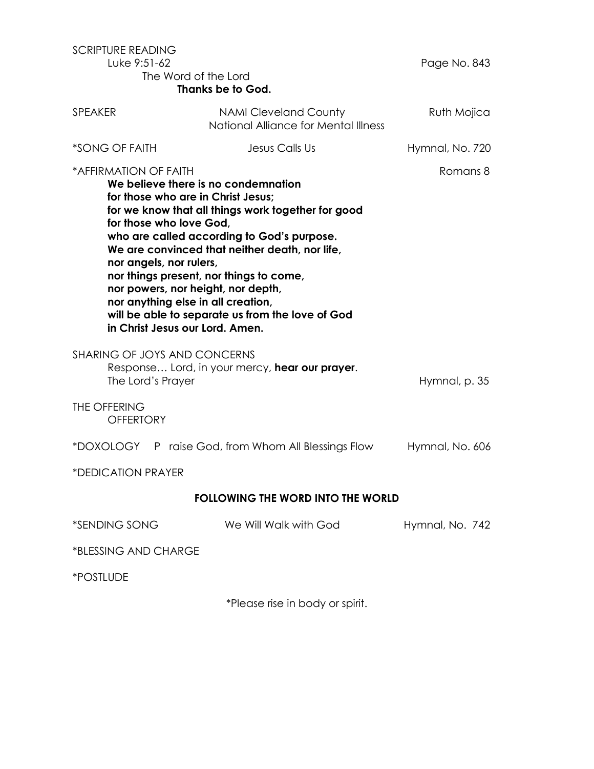| <b>SCRIPTURE READING</b><br>Luke 9:51-62<br>The Word of the Lord<br><b>Thanks be to God.</b>                                                                                                                                                                                                                                                                                                                                                                                                                                             |                                                                      | Page No. 843    |
|------------------------------------------------------------------------------------------------------------------------------------------------------------------------------------------------------------------------------------------------------------------------------------------------------------------------------------------------------------------------------------------------------------------------------------------------------------------------------------------------------------------------------------------|----------------------------------------------------------------------|-----------------|
| <b>SPEAKER</b>                                                                                                                                                                                                                                                                                                                                                                                                                                                                                                                           | <b>NAMI Cleveland County</b><br>National Alliance for Mental Illness | Ruth Mojica     |
| *SONG OF FAITH                                                                                                                                                                                                                                                                                                                                                                                                                                                                                                                           | Jesus Calls Us                                                       | Hymnal, No. 720 |
| *AFFIRMATION OF FAITH<br>Romans 8<br>We believe there is no condemnation<br>for those who are in Christ Jesus:<br>for we know that all things work together for good<br>for those who love God,<br>who are called according to God's purpose.<br>We are convinced that neither death, nor life,<br>nor angels, nor rulers,<br>nor things present, nor things to come,<br>nor powers, nor height, nor depth,<br>nor anything else in all creation,<br>will be able to separate us from the love of God<br>in Christ Jesus our Lord. Amen. |                                                                      |                 |
| SHARING OF JOYS AND CONCERNS<br>Response Lord, in your mercy, hear our prayer.<br>The Lord's Prayer                                                                                                                                                                                                                                                                                                                                                                                                                                      |                                                                      | Hymnal, p. 35   |
| THE OFFERING<br><b>OFFERTORY</b>                                                                                                                                                                                                                                                                                                                                                                                                                                                                                                         |                                                                      |                 |
|                                                                                                                                                                                                                                                                                                                                                                                                                                                                                                                                          | *DOXOLOGY P raise God, from Whom All Blessings Flow                  | Hymnal, No. 606 |
| *DEDICATION PRAYER                                                                                                                                                                                                                                                                                                                                                                                                                                                                                                                       |                                                                      |                 |
| <b>FOLLOWING THE WORD INTO THE WORLD</b>                                                                                                                                                                                                                                                                                                                                                                                                                                                                                                 |                                                                      |                 |
| *SENDING SONG                                                                                                                                                                                                                                                                                                                                                                                                                                                                                                                            | We Will Walk with God                                                | Hymnal, No. 742 |
| *BLESSING AND CHARGE                                                                                                                                                                                                                                                                                                                                                                                                                                                                                                                     |                                                                      |                 |
| <i><b>*POSTLUDE</b></i>                                                                                                                                                                                                                                                                                                                                                                                                                                                                                                                  |                                                                      |                 |

\*Please rise in body or spirit.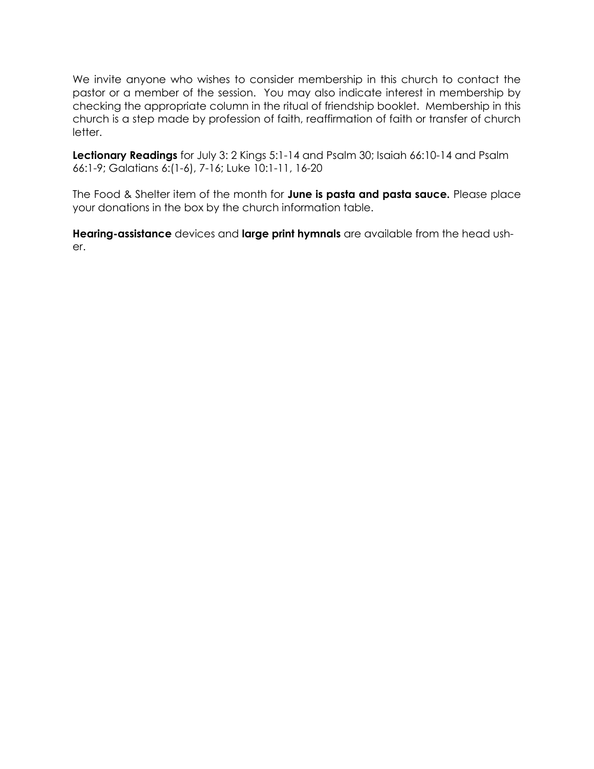We invite anyone who wishes to consider membership in this church to contact the pastor or a member of the session. You may also indicate interest in membership by checking the appropriate column in the ritual of friendship booklet. Membership in this church is a step made by profession of faith, reaffirmation of faith or transfer of church letter.

**Lectionary Readings** for July 3: 2 Kings 5:1-14 and Psalm 30; Isaiah 66:10-14 and Psalm 66:1-9; Galatians 6:(1-6), 7-16; Luke 10:1-11, 16-20

The Food & Shelter item of the month for **June is pasta and pasta sauce.** Please place your donations in the box by the church information table.

**Hearing-assistance** devices and **large print hymnals** are available from the head usher.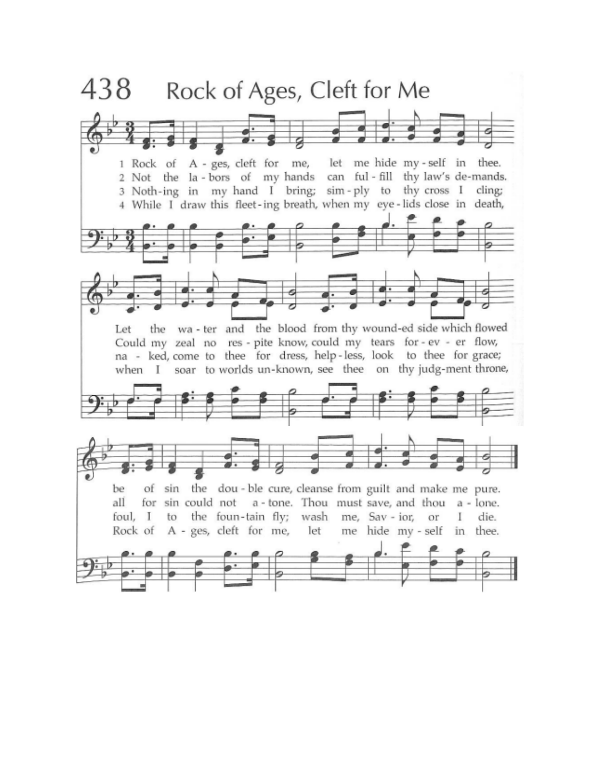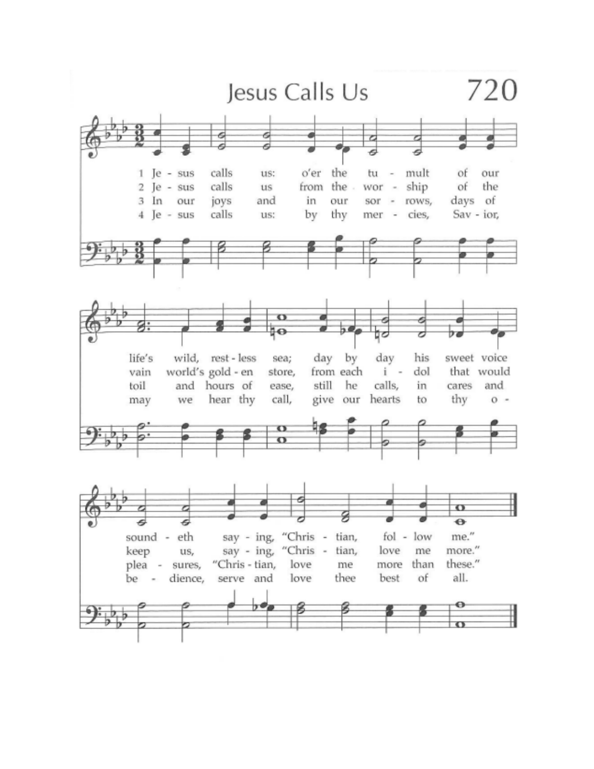